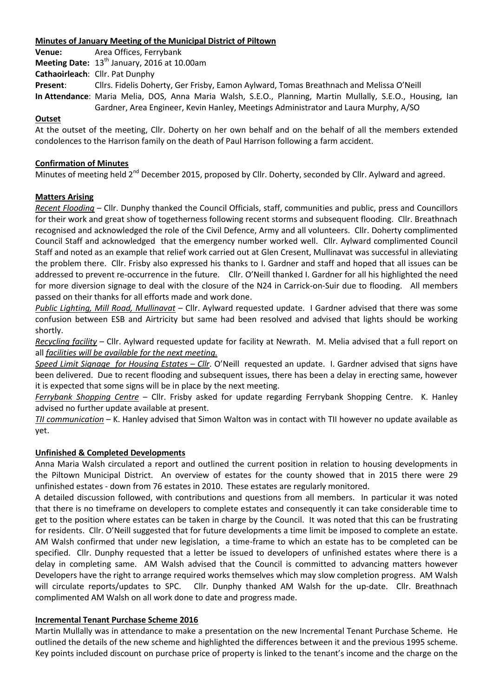### **Minutes of January Meeting of the Municipal District of Piltown**

**Venue:** Area Offices, Ferrybank **Meeting Date:** 13<sup>th</sup> January, 2016 at 10.00am **Cathaoirleach**: Cllr. Pat Dunphy **Present**: Cllrs. Fidelis Doherty, Ger Frisby, Eamon Aylward, Tomas Breathnach and Melissa O'Neill **In Attendance**: Maria Melia, DOS, Anna Maria Walsh, S.E.O., Planning, Martin Mullally, S.E.O., Housing, Ian Gardner, Area Engineer, Kevin Hanley, Meetings Administrator and Laura Murphy, A/SO

### **Outset**

At the outset of the meeting, Cllr. Doherty on her own behalf and on the behalf of all the members extended condolences to the Harrison family on the death of Paul Harrison following a farm accident.

### **Confirmation of Minutes**

Minutes of meeting held 2<sup>nd</sup> December 2015, proposed by Cllr. Doherty, seconded by Cllr. Aylward and agreed.

### **Matters Arising**

*Recent Flooding* – Cllr. Dunphy thanked the Council Officials, staff, communities and public, press and Councillors for their work and great show of togetherness following recent storms and subsequent flooding. Cllr. Breathnach recognised and acknowledged the role of the Civil Defence, Army and all volunteers. Cllr. Doherty complimented Council Staff and acknowledged that the emergency number worked well. Cllr. Aylward complimented Council Staff and noted as an example that relief work carried out at Glen Cresent, Mullinavat was successful in alleviating the problem there. Cllr. Frisby also expressed his thanks to I. Gardner and staff and hoped that all issues can be addressed to prevent re-occurrence in the future. Cllr. O'Neill thanked I. Gardner for all his highlighted the need for more diversion signage to deal with the closure of the N24 in Carrick-on-Suir due to flooding. All members passed on their thanks for all efforts made and work done.

*Public Lighting, Mill Road, Mullinavat* – Cllr. Aylward requested update. I Gardner advised that there was some confusion between ESB and Airtricity but same had been resolved and advised that lights should be working shortly.

*Recycling facility* – Cllr. Aylward requested update for facility at Newrath. M. Melia advised that a full report on all *facilities will be available for the next meeting.*

*Speed Limit Signage for Housing Estates – Cllr*. O'Neill requested an update. I. Gardner advised that signs have been delivered. Due to recent flooding and subsequent issues, there has been a delay in erecting same, however it is expected that some signs will be in place by the next meeting.

*Ferrybank Shopping Centre* – Cllr. Frisby asked for update regarding Ferrybank Shopping Centre. K. Hanley advised no further update available at present.

*TII communication* – K. Hanley advised that Simon Walton was in contact with TII however no update available as yet.

#### **Unfinished & Completed Developments**

Anna Maria Walsh circulated a report and outlined the current position in relation to housing developments in the Piltown Municipal District. An overview of estates for the county showed that in 2015 there were 29 unfinished estates - down from 76 estates in 2010. These estates are regularly monitored.

A detailed discussion followed, with contributions and questions from all members. In particular it was noted that there is no timeframe on developers to complete estates and consequently it can take considerable time to get to the position where estates can be taken in charge by the Council. It was noted that this can be frustrating for residents. Cllr. O'Neill suggested that for future developments a time limit be imposed to complete an estate. AM Walsh confirmed that under new legislation, a time-frame to which an estate has to be completed can be specified. Cllr. Dunphy requested that a letter be issued to developers of unfinished estates where there is a delay in completing same. AM Walsh advised that the Council is committed to advancing matters however Developers have the right to arrange required works themselves which may slow completion progress. AM Walsh will circulate reports/updates to SPC. Cllr. Dunphy thanked AM Walsh for the up-date. Cllr. Breathnach complimented AM Walsh on all work done to date and progress made.

#### **Incremental Tenant Purchase Scheme 2016**

Martin Mullally was in attendance to make a presentation on the new Incremental Tenant Purchase Scheme. He outlined the details of the new scheme and highlighted the differences between it and the previous 1995 scheme. Key points included discount on purchase price of property is linked to the tenant's income and the charge on the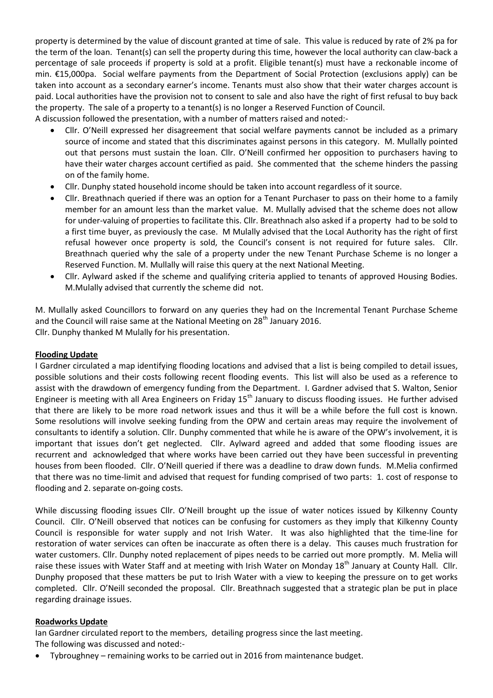property is determined by the value of discount granted at time of sale. This value is reduced by rate of 2% pa for the term of the loan. Tenant(s) can sell the property during this time, however the local authority can claw-back a percentage of sale proceeds if property is sold at a profit. Eligible tenant(s) must have a reckonable income of min. €15,000pa. Social welfare payments from the Department of Social Protection (exclusions apply) can be taken into account as a secondary earner's income. Tenants must also show that their water charges account is paid. Local authorities have the provision not to consent to sale and also have the right of first refusal to buy back the property. The sale of a property to a tenant(s) is no longer a Reserved Function of Council.

A discussion followed the presentation, with a number of matters raised and noted:-

- Cllr. O'Neill expressed her disagreement that social welfare payments cannot be included as a primary source of income and stated that this discriminates against persons in this category. M. Mullally pointed out that persons must sustain the loan. Cllr. O'Neill confirmed her opposition to purchasers having to have their water charges account certified as paid. She commented that the scheme hinders the passing on of the family home.
- Cllr. Dunphy stated household income should be taken into account regardless of it source.
- Cllr. Breathnach queried if there was an option for a Tenant Purchaser to pass on their home to a family member for an amount less than the market value. M. Mullally advised that the scheme does not allow for under-valuing of properties to facilitate this. Cllr. Breathnach also asked if a property had to be sold to a first time buyer, as previously the case. M Mulally advised that the Local Authority has the right of first refusal however once property is sold, the Council's consent is not required for future sales. Cllr. Breathnach queried why the sale of a property under the new Tenant Purchase Scheme is no longer a Reserved Function. M. Mullally will raise this query at the next National Meeting.
- Cllr. Aylward asked if the scheme and qualifying criteria applied to tenants of approved Housing Bodies. M.Mulally advised that currently the scheme did not.

M. Mullally asked Councillors to forward on any queries they had on the Incremental Tenant Purchase Scheme and the Council will raise same at the National Meeting on 28<sup>th</sup> January 2016. Cllr. Dunphy thanked M Mulally for his presentation.

# **Flooding Update**

I Gardner circulated a map identifying flooding locations and advised that a list is being compiled to detail issues, possible solutions and their costs following recent flooding events. This list will also be used as a reference to assist with the drawdown of emergency funding from the Department. I. Gardner advised that S. Walton, Senior Engineer is meeting with all Area Engineers on Friday  $15<sup>th</sup>$  January to discuss flooding issues. He further advised that there are likely to be more road network issues and thus it will be a while before the full cost is known. Some resolutions will involve seeking funding from the OPW and certain areas may require the involvement of consultants to identify a solution. Cllr. Dunphy commented that while he is aware of the OPW's involvement, it is important that issues don't get neglected. Cllr. Aylward agreed and added that some flooding issues are recurrent and acknowledged that where works have been carried out they have been successful in preventing houses from been flooded. Cllr. O'Neill queried if there was a deadline to draw down funds. M.Melia confirmed that there was no time-limit and advised that request for funding comprised of two parts: 1. cost of response to flooding and 2. separate on-going costs.

While discussing flooding issues Cllr. O'Neill brought up the issue of water notices issued by Kilkenny County Council. Cllr. O'Neill observed that notices can be confusing for customers as they imply that Kilkenny County Council is responsible for water supply and not Irish Water. It was also highlighted that the time-line for restoration of water services can often be inaccurate as often there is a delay. This causes much frustration for water customers. Cllr. Dunphy noted replacement of pipes needs to be carried out more promptly. M. Melia will raise these issues with Water Staff and at meeting with Irish Water on Monday 18<sup>th</sup> January at County Hall. Cllr. Dunphy proposed that these matters be put to Irish Water with a view to keeping the pressure on to get works completed. Cllr. O'Neill seconded the proposal. Cllr. Breathnach suggested that a strategic plan be put in place regarding drainage issues.

#### **Roadworks Update**

Ian Gardner circulated report to the members, detailing progress since the last meeting. The following was discussed and noted:-

Tybroughney – remaining works to be carried out in 2016 from maintenance budget.